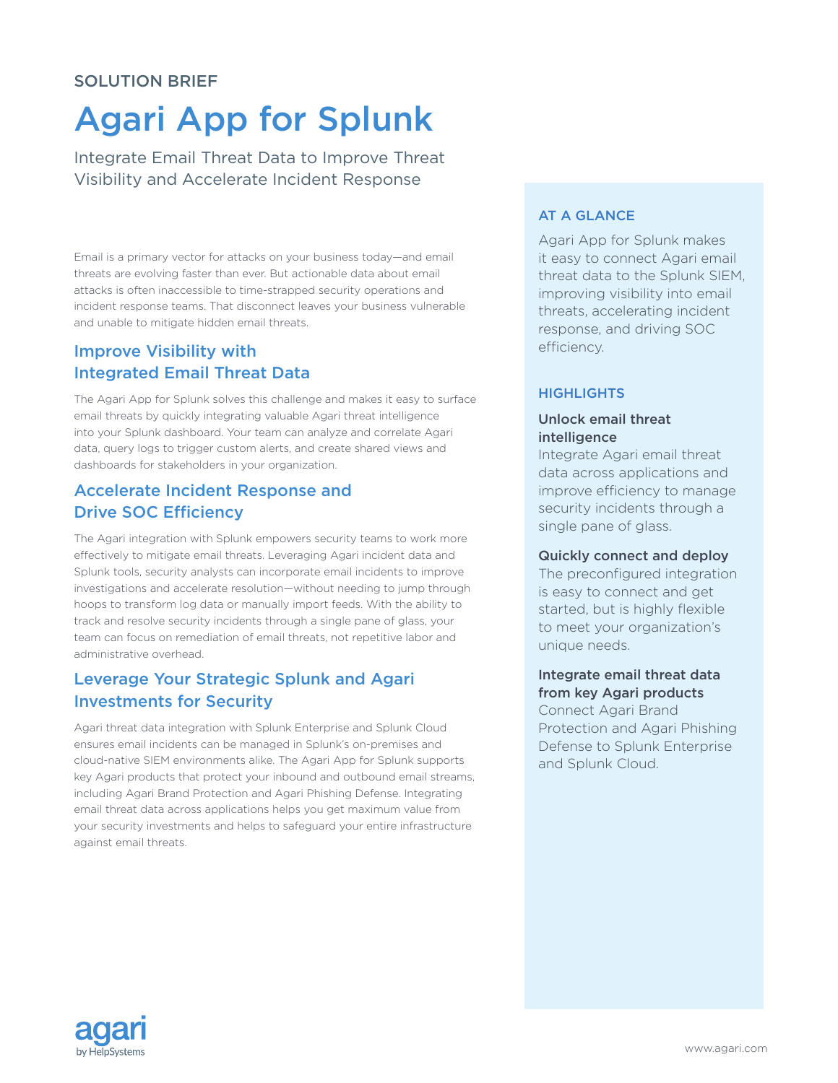## SOLUTION BRIEF

# Agari App for Splunk

Integrate Email Threat Data to Improve Threat Visibility and Accelerate Incident Response

Email is a primary vector for attacks on your business today—and email threats are evolving faster than ever. But actionable data about email attacks is often inaccessible to time-strapped security operations and incident response teams. That disconnect leaves your business vulnerable and unable to mitigate hidden email threats.

# Improve Visibility with Integrated Email Threat Data

The Agari App for Splunk solves this challenge and makes it easy to surface email threats by quickly integrating valuable Agari threat intelligence into your Splunk dashboard. Your team can analyze and correlate Agari data, query logs to trigger custom alerts, and create shared views and dashboards for stakeholders in your organization.

# Accelerate Incident Response and Drive SOC Efficiency

The Agari integration with Splunk empowers security teams to work more effectively to mitigate email threats. Leveraging Agari incident data and Splunk tools, security analysts can incorporate email incidents to improve investigations and accelerate resolution—without needing to jump through hoops to transform log data or manually import feeds. With the ability to track and resolve security incidents through a single pane of glass, your team can focus on remediation of email threats, not repetitive labor and administrative overhead.

# Leverage Your Strategic Splunk and Agari Investments for Security

Agari threat data integration with Splunk Enterprise and Splunk Cloud ensures email incidents can be managed in Splunk's on-premises and cloud-native SIEM environments alike. The Agari App for Splunk supports key Agari products that protect your inbound and outbound email streams, including Agari Brand Protection and Agari Phishing Defense. Integrating email threat data across applications helps you get maximum value from your security investments and helps to safeguard your entire infrastructure against email threats.

## AT A GLANCE

Agari App for Splunk makes it easy to connect Agari email threat data to the Splunk SIEM, improving visibility into email threats, accelerating incident response, and driving SOC efficiency.

### **HIGHLIGHTS**

#### Unlock email threat intelligence

Integrate Agari email threat data across applications and improve efficiency to manage security incidents through a single pane of glass.

#### Quickly connect and deploy

The preconfigured integration is easy to connect and get started, but is highly flexible to meet your organization's unique needs.

## Integrate email threat data from key Agari products

Connect Agari Brand Protection and Agari Phishing Defense to Splunk Enterprise and Splunk Cloud.